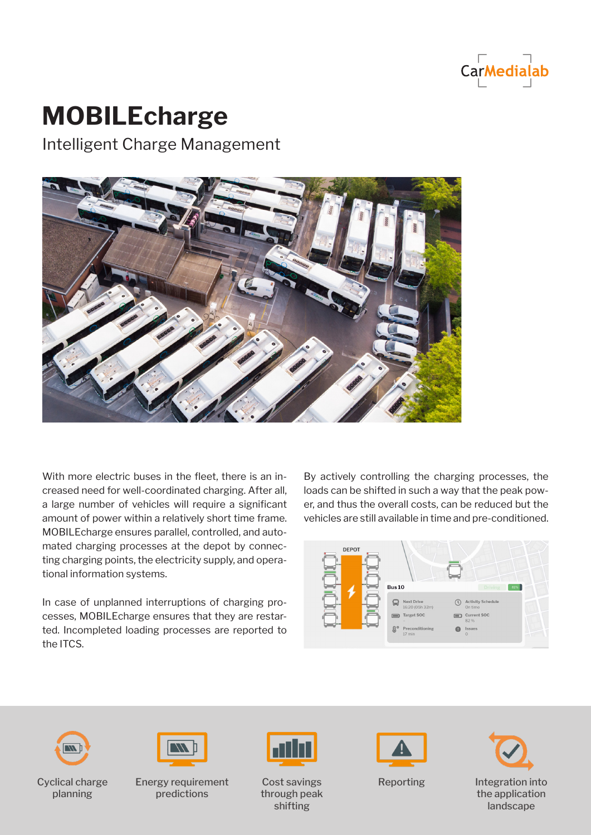

## **MOBILEcharge**

Intelligent Charge Management



With more electric buses in the fleet, there is an increased need for well-coordinated charging. After all, a large number of vehicles will require a significant amount of power within a relatively short time frame. MOBILEcharge ensures parallel, controlled, and automated charging processes at the depot by connecting charging points, the electricity supply, and operational information systems.

In case of unplanned interruptions of charging processes, MOBILEcharge ensures that they are restarted. Incompleted loading processes are reported to the ITCS.

By actively controlling the charging processes, the loads can be shifted in such a way that the peak power, and thus the overall costs, can be reduced but the vehicles are still available in time and pre-conditioned.





Cyclical charge planning



Energy requirement predictions



Cost savings through peak shifting